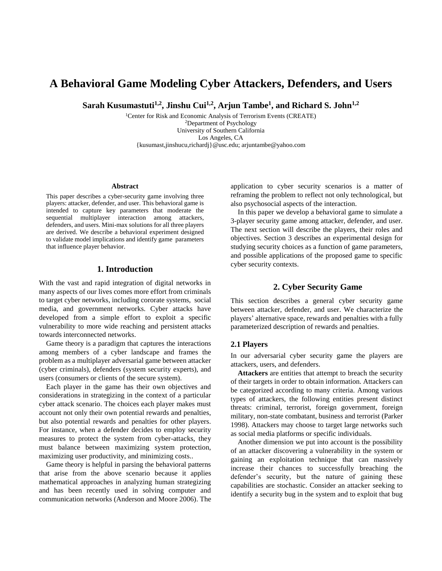# **A Behavioral Game Modeling Cyber Attackers, Defenders, and Users**

**Sarah Kusumastuti1,2, Jinshu Cui1,2, Arjun Tambe<sup>1</sup> , and Richard S. John1,2**

<sup>1</sup>Center for Risk and Economic Analysis of Terrorism Events (CREATE) <sup>2</sup>Department of Psychology University of Southern California Los Angeles, CA {kusumast,jinshucu,richardj}@usc.edu; arjuntambe@yahoo.com

#### **Abstract**

This paper describes a cyber-security game involving three players: attacker, defender, and user. This behavioral game is intended to capture key parameters that moderate the sequential multiplayer interaction among attackers, defenders, and users. Mini-max solutions for all three players are derived. We describe a behavioral experiment designed to validate model implications and identify game parameters that influence player behavior.

# **1. Introduction**

With the vast and rapid integration of digital networks in many aspects of our lives comes more effort from criminals to target cyber networks, including cororate systems, social media, and government networks. Cyber attacks have developed from a simple effort to exploit a specific vulnerability to more wide reaching and persistent attacks towards interconnected networks.

Game theory is a paradigm that captures the interactions among members of a cyber landscape and frames the problem as a multiplayer adversarial game between attacker (cyber criminals), defenders (system security experts), and users (consumers or clients of the secure system).

Each player in the game has their own objectives and considerations in strategizing in the context of a particular cyber attack scenario. The choices each player makes must account not only their own potential rewards and penalties, but also potential rewards and penalties for other players. For instance, when a defender decides to employ security measures to protect the system from cyber-attacks, they must balance between maximizing system protection, maximizing user productivity, and minimizing costs..

Game theory is helpful in parsing the behavioral patterns that arise from the above scenario because it applies mathematical approaches in analyzing human strategizing and has been recently used in solving computer and communication networks (Anderson and Moore 2006). The

application to cyber security scenarios is a matter of reframing the problem to reflect not only technological, but also psychosocial aspects of the interaction.

In this paper we develop a behavioral game to simulate a 3-player security game among attacker, defender, and user. The next section will describe the players, their roles and objectives. Section 3 describes an experimental design for studying security choices as a function of game parameters, and possible applications of the proposed game to specific cyber security contexts.

# **2. Cyber Security Game**

This section describes a general cyber security game between attacker, defender, and user. We characterize the players' alternative space, rewards and penalties with a fully parameterized description of rewards and penalties.

# **2.1 Players**

In our adversarial cyber security game the players are attackers, users, and defenders.

**Attackers** are entities that attempt to breach the security of their targets in order to obtain information. Attackers can be categorized according to many criteria. Among various types of attackers, the following entities present distinct threats: criminal, terrorist, foreign government, foreign military, non-state combatant, business and terrorist (Parker 1998). Attackers may choose to target large networks such as social media platforms or specific individuals.

Another dimension we put into account is the possibility of an attacker discovering a vulnerability in the system or gaining an exploitation technique that can massively increase their chances to successfully breaching the defender's security, but the nature of gaining these capabilities are stochastic. Consider an attacker seeking to identify a security bug in the system and to exploit that bug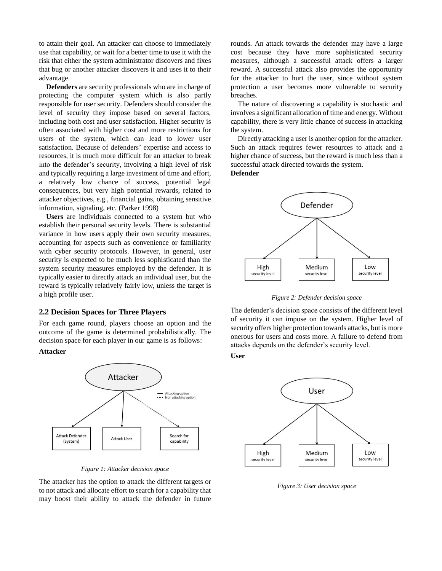to attain their goal. An attacker can choose to immediately use that capability, or wait for a better time to use it with the risk that either the system administrator discovers and fixes that bug or another attacker discovers it and uses it to their advantage.

**Defenders** are security professionals who are in charge of protecting the computer system which is also partly responsible for user security. Defenders should consider the level of security they impose based on several factors, including both cost and user satisfaction. Higher security is often associated with higher cost and more restrictions for users of the system, which can lead to lower user satisfaction. Because of defenders' expertise and access to resources, it is much more difficult for an attacker to break into the defender's security, involving a high level of risk and typically requiring a large investment of time and effort, a relatively low chance of success, potential legal consequences, but very high potential rewards, related to attacker objectives, e.g., financial gains, obtaining sensitive information, signaling, etc. (Parker 1998)

**Users** are individuals connected to a system but who establish their personal security levels. There is substantial variance in how users apply their own security measures, accounting for aspects such as convenience or familiarity with cyber security protocols. However, in general, user security is expected to be much less sophisticated than the system security measures employed by the defender. It is typically easier to directly attack an individual user, but the reward is typically relatively fairly low, unless the target is a high profile user.

#### **2.2 Decision Spaces for Three Players**

For each game round, players choose an option and the outcome of the game is determined probabilistically. The decision space for each player in our game is as follows:

#### **Attacker**



*Figure 1: Attacker decision space*

The attacker has the option to attack the different targets or to not attack and allocate effort to search for a capability that may boost their ability to attack the defender in future rounds. An attack towards the defender may have a large cost because they have more sophisticated security measures, although a successful attack offers a larger reward. A successful attack also provides the opportunity for the attacker to hurt the user, since without system protection a user becomes more vulnerable to security breaches.

The nature of discovering a capability is stochastic and involves a significant allocation of time and energy. Without capability, there is very little chance of success in attacking the system.

Directly attacking a user is another option for the attacker. Such an attack requires fewer resources to attack and a higher chance of success, but the reward is much less than a successful attack directed towards the system. **Defender**



*Figure 2: Defender decision space*

The defender's decision space consists of the different level of security it can impose on the system. Higher level of security offers higher protection towards attacks, but is more onerous for users and costs more. A failure to defend from attacks depends on the defender's security level.

**User**



*Figure 3: User decision space*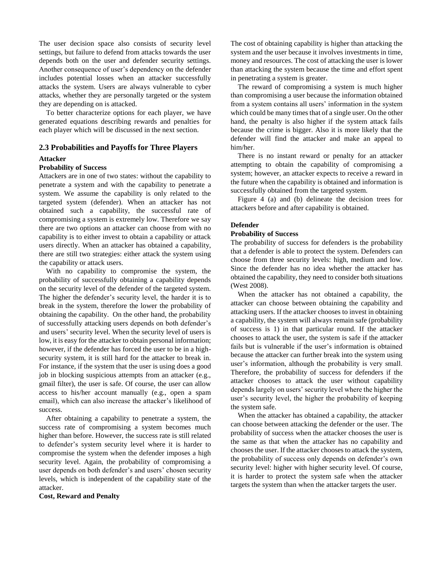The user decision space also consists of security level settings, but failure to defend from attacks towards the user depends both on the user and defender security settings. Another consequence of user's dependency on the defender includes potential losses when an attacker successfully attacks the system. Users are always vulnerable to cyber attacks, whether they are personally targeted or the system they are depending on is attacked.

To better characterize options for each player, we have generated equations describing rewards and penalties for each player which will be discussed in the next section.

# **2.3 Probabilities and Payoffs for Three Players**

## **Attacker**

#### **Probability of Success**

Attackers are in one of two states: without the capability to penetrate a system and with the capability to penetrate a system. We assume the capability is only related to the targeted system (defender). When an attacker has not obtained such a capability, the successful rate of compromising a system is extremely low. Therefore we say there are two options an attacker can choose from with no capability is to either invest to obtain a capability or attack users directly. When an attacker has obtained a capability, there are still two strategies: either attack the system using the capability or attack users.

With no capability to compromise the system, the probability of successfully obtaining a capability depends on the security level of the defender of the targeted system. The higher the defender's security level, the harder it is to break in the system, therefore the lower the probability of obtaining the capability. On the other hand, the probability of successfully attacking users depends on both defender's and users' security level. When the security level of users is low, it is easy for the attacker to obtain personal information; however, if the defender has forced the user to be in a highsecurity system, it is still hard for the attacker to break in. For instance, if the system that the user is using does a good job in blocking suspicious attempts from an attacker (e.g., gmail filter), the user is safe. Of course, the user can allow access to his/her account manually (e.g., open a spam email), which can also increase the attacker's likelihood of success.

After obtaining a capability to penetrate a system, the success rate of compromising a system becomes much higher than before. However, the success rate is still related to defender's system security level where it is harder to compromise the system when the defender imposes a high security level. Again, the probability of compromising a user depends on both defender's and users' chosen security levels, which is independent of the capability state of the attacker.

**Cost, Reward and Penalty**

The cost of obtaining capability is higher than attacking the system and the user because it involves investments in time, money and resources. The cost of attacking the user is lower than attacking the system because the time and effort spent in penetrating a system is greater.

The reward of compromising a system is much higher than compromising a user because the information obtained from a system contains all users' information in the system which could be many times that of a single user. On the other hand, the penalty is also higher if the system attack fails because the crime is bigger. Also it is more likely that the defender will find the attacker and make an appeal to him/her.

There is no instant reward or penalty for an attacker attempting to obtain the capability of compromising a system; however, an attacker expects to receive a reward in the future when the capability is obtained and information is successfully obtained from the targeted system.

Figure 4 (a) and (b) delineate the decision trees for attackers before and after capability is obtained.

# **Defender**

#### **Probability of Success**

The probability of success for defenders is the probability that a defender is able to protect the system. Defenders can choose from three security levels: high, medium and low. Since the defender has no idea whether the attacker has obtained the capability, they need to consider both situations (West 2008).

When the attacker has not obtained a capability, the attacker can choose between obtaining the capability and attacking users. If the attacker chooses to invest in obtaining a capability, the system will always remain safe (probability of success is 1) in that particular round. If the attacker chooses to attack the user, the system is safe if the attacker fails but is vulnerable if the user's information is obtained because the attacker can further break into the system using user's information, although the probability is very small. Therefore, the probability of success for defenders if the attacker chooses to attack the user without capability depends largely on users' security level where the higher the user's security level, the higher the probability of keeping the system safe.

When the attacker has obtained a capability, the attacker can choose between attacking the defender or the user. The probability of success when the attacker chooses the user is the same as that when the attacker has no capability and chooses the user. If the attacker chooses to attack the system, the probability of success only depends on defender's own security level: higher with higher security level. Of course, it is harder to protect the system safe when the attacker targets the system than when the attacker targets the user.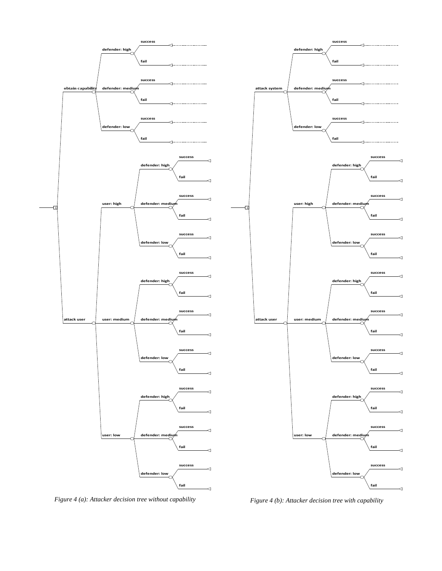

*Figure 4 (a): Attacker decision tree without capability Figure 4 (b): Attacker decision tree with capability*

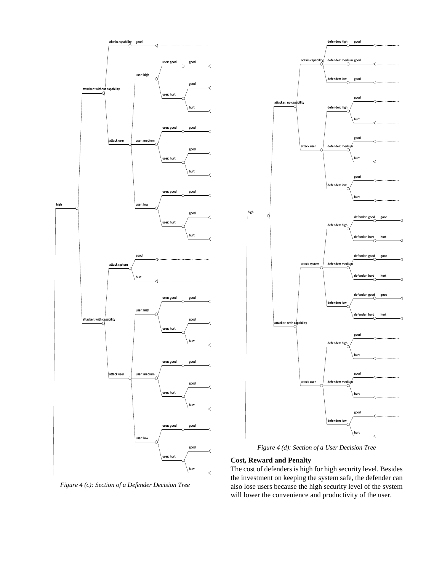

*Figure 4 (c): Section of a Defender Decision Tree*



*Figure 4 (d): Section of a User Decision Tree*

# **Cost, Reward and Penalty**

The cost of defenders is high for high security level. Besides the investment on keeping the system safe, the defender can also lose users because the high security level of the system will lower the convenience and productivity of the user.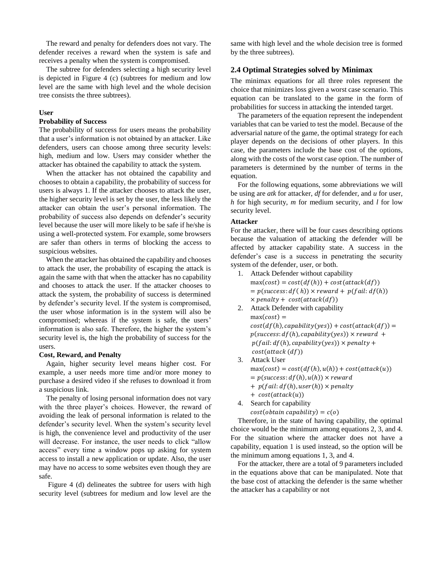The reward and penalty for defenders does not vary. The defender receives a reward when the system is safe and receives a penalty when the system is compromised.

The subtree for defenders selecting a high security level is depicted in Figure 4 (c) (subtrees for medium and low level are the same with high level and the whole decision tree consists the three subtrees).

#### **User**

## **Probability of Success**

The probability of success for users means the probability that a user's information is not obtained by an attacker. Like defenders, users can choose among three security levels: high, medium and low. Users may consider whether the attacker has obtained the capability to attack the system.

When the attacker has not obtained the capability and chooses to obtain a capability, the probability of success for users is always 1. If the attacker chooses to attack the user, the higher security level is set by the user, the less likely the attacker can obtain the user's personal information. The probability of success also depends on defender's security level because the user will more likely to be safe if he/she is using a well-protected system. For example, some browsers are safer than others in terms of blocking the access to suspicious websites.

When the attacker has obtained the capability and chooses to attack the user, the probability of escaping the attack is again the same with that when the attacker has no capability and chooses to attack the user. If the attacker chooses to attack the system, the probability of success is determined by defender's security level. If the system is compromised, the user whose information is in the system will also be compromised; whereas if the system is safe, the users' information is also safe. Therefore, the higher the system's security level is, the high the probability of success for the users.

#### **Cost, Reward, and Penalty**

Again, higher security level means higher cost. For example, a user needs more time and/or more money to purchase a desired video if she refuses to download it from a suspicious link.

The penalty of losing personal information does not vary with the three player's choices. However, the reward of avoiding the leak of personal information is related to the defender's security level. When the system's security level is high, the convenience level and productivity of the user will decrease. For instance, the user needs to click "allow access" every time a window pops up asking for system access to install a new application or update. Also, the user may have no access to some websites even though they are safe.

 Figure 4 (d) delineates the subtree for users with high security level (subtrees for medium and low level are the

same with high level and the whole decision tree is formed by the three subtrees).

## **2.4 Optimal Strategies solved by Minimax**

The minimax equations for all three roles represent the choice that minimizes loss given a worst case scenario. This equation can be translated to the game in the form of probabilities for success in attacking the intended target.

The parameters of the equation represent the independent variables that can be varied to test the model. Because of the adversarial nature of the game, the optimal strategy for each player depends on the decisions of other players. In this case, the parameters include the base cost of the options, along with the costs of the worst case option. The number of parameters is determined by the number of terms in the equation.

For the following equations, some abbreviations we will be using are *atk* for attacker, *df* for defender, and *u* for user, *h* for high security, *m* for medium security, and *l* for low security level.

# **Attacker**

For the attacker, there will be four cases describing options because the valuation of attacking the defender will be affected by attacker capability state. A success in the defender's case is a success in penetrating the security system of the defender, user, or both.

- 1. Attack Defender without capability  $max(cost) = cost(df(h)) + cost(attack(df))$  $= p(success: df(h)) \times reward + p(fail: df(h))$  $\times$  penalty + cost(attack(df))
- 2. Attack Defender with capability  $max(cost) =$  $cost(df(h), capability(yes)) + cost(attack(df)) =$  $p(success: df(h), capability(yes)) \times reward +$  $p(fail: df(h), capability(yes)) \times penalty +$  $cost(attack(df))$
- 3. Attack User  $max(cost) = cost(df(h), u(h)) + cost(attack(u))$  $= p(success: df(h), u(h)) \times reward$  $+$  p(fail:  $df(h)$ , user(h))  $\times$  penalty
	- $+ cost(attack(u))$
- 4. Search for capability  $cost(obtain capability) = c(o)$

Therefore, in the state of having capability, the optimal choice would be the minimum among equations 2, 3, and 4. For the situation where the attacker does not have a capability, equation 1 is used instead, so the option will be the minimum among equations 1, 3, and 4.

For the attacker, there are a total of 9 parameters included in the equations above that can be manipulated. Note that the base cost of attacking the defender is the same whether the attacker has a capability or not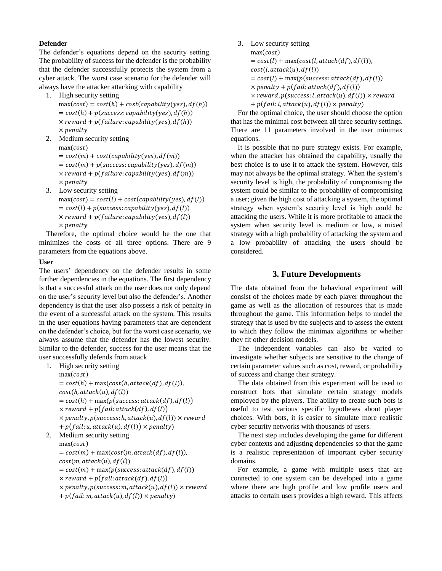# **Defender**

The defender's equations depend on the security setting. The probability of success for the defender is the probability that the defender successfully protects the system from a cyber attack. The worst case scenario for the defender will always have the attacker attacking with capability

- 1. High security setting
	- $max(cost) = cost(h) + cost(capability(yes), df(h))$  $= cost(h) + p(success: capability(yes), df(h))$  $\times$  reward + p(failure: capability(yes), df(h))  $\times$  penalty
- 2. Medium security setting  $max(cost)$  $= cost(m) + cost(capability(yes), df(m))$  $= cost(m) + p(success: capability(yes), df(m))$  $\times$  reward + p(failure: capability(yes), df(m))  $\times$  penalty
- 3. Low security setting
- $max(cost) = cost(l) + cost(capability(yes), df(l))$  $= cost(l) + p(success: capability(yes), df(l))$  $\times$  reward + p(failure: capability(yes), df(l))  $\times$  penalty

Therefore, the optimal choice would be the one that minimizes the costs of all three options. There are 9 parameters from the equations above.

# **User**

The users' dependency on the defender results in some further dependencies in the equations. The first dependency is that a successful attack on the user does not only depend on the user's security level but also the defender's. Another dependency is that the user also possess a risk of penalty in the event of a successful attack on the system. This results in the user equations having parameters that are dependent on the defender's choice, but for the worst case scenario, we always assume that the defender has the lowest security. Similar to the defender, success for the user means that the user successfully defends from attack

1. High security setting

```
max(cost)= cost(h) + max(cost(h, attack(df), df(l)),cost(h, attack(u), df(l))= cost(h) + max(p(success: attack(df), df(l))\times reward + p(fail: attack(df), df(l))
\times penalty, p(success: h, attack(u), df(l)) \times reward
+ p(fail: u, attack(u), df(l)) \times penalty)
```
# 2. Medium security setting

```
max(cost)= cost(m) + max(cost(m, attack(df), df(l)),cost(m, attack(u), df(l))= cost(m) + max(p(success: attack(df), df(l))\times reward + p(fail: attack(df), df(l))
\times penalty, p(success: m, attack(u), df(l)) \times reward
```

```
+ p(fail: m, attack(u), df(l)) \times penalty)
```
3. Low security setting

```
max(cost)= cost(l) + max(cost(l, attack(df), df(l)),cost(l, attack(u), df(l))= cost(l) + max(p(success: attack(df), df(l))\times penalty + p(fail: attack(df), df(l))
\times reward, p(success: l, attack(u), df(l)) \times reward
+ p(fail: l, attack(u), df(l)) \times penalty)
```
For the optimal choice, the user should choose the option that has the minimal cost between all three security settings. There are 11 parameters involved in the user minimax equations.

It is possible that no pure strategy exists. For example, when the attacker has obtained the capability, usually the best choice is to use it to attack the system. However, this may not always be the optimal strategy. When the system's security level is high, the probability of compromising the system could be similar to the probability of compromising a user; given the high cost of attacking a system, the optimal strategy when system's security level is high could be attacking the users. While it is more profitable to attack the system when security level is medium or low, a mixed strategy with a high probability of attacking the system and a low probability of attacking the users should be considered.

# **3. Future Developments**

The data obtained from the behavioral experiment will consist of the choices made by each player throughout the game as well as the allocation of resources that is made throughout the game. This information helps to model the strategy that is used by the subjects and to assess the extent to which they follow the minimax algorithms or whether they fit other decision models.

The independent variables can also be varied to investigate whether subjects are sensitive to the change of certain parameter values such as cost, reward, or probability of success and change their strategy.

The data obtained from this experiment will be used to construct bots that simulate certain strategy models employed by the players. The ability to create such bots is useful to test various specific hypotheses about player choices. With bots, it is easier to simulate more realistic cyber security networks with thousands of users.

The next step includes developing the game for different cyber contexts and adjusting dependencies so that the game is a realistic representation of important cyber security domains.

For example, a game with multiple users that are connected to one system can be developed into a game where there are high profile and low profile users and attacks to certain users provides a high reward. This affects